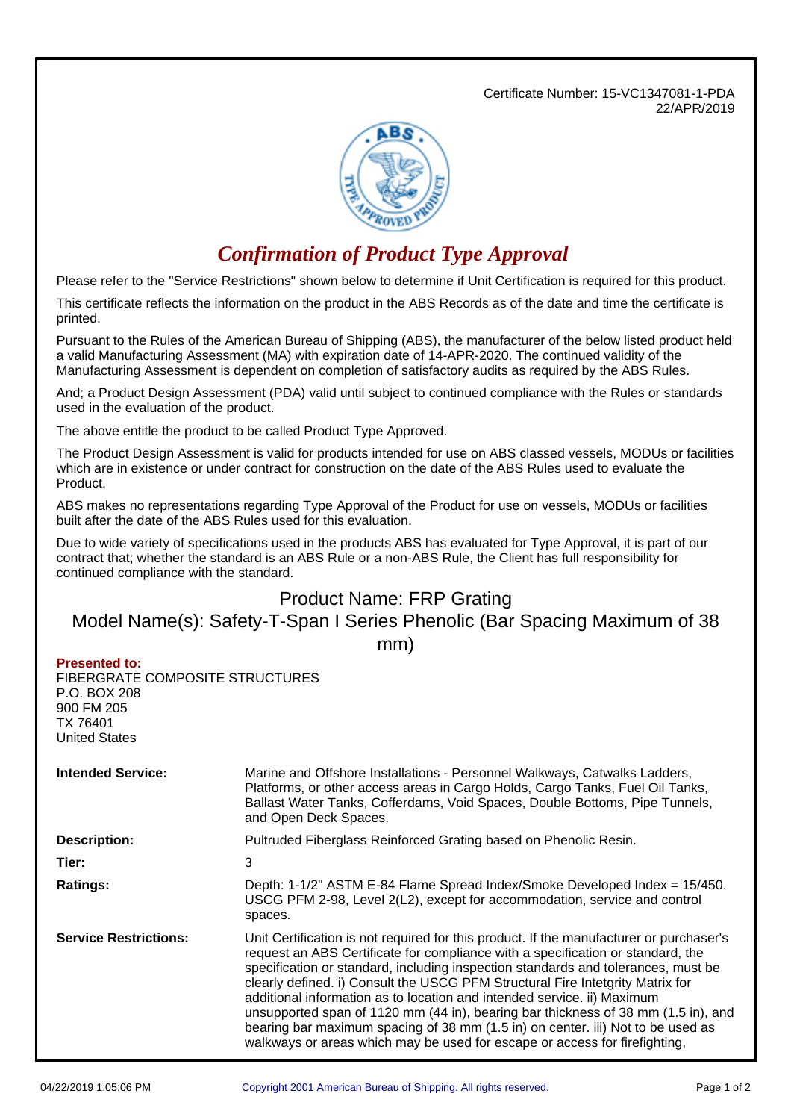Certificate Number: 15-VC1347081-1-PDA 22/APR/2019



## *Confirmation of Product Type Approval*

Please refer to the "Service Restrictions" shown below to determine if Unit Certification is required for this product.

This certificate reflects the information on the product in the ABS Records as of the date and time the certificate is printed.

Pursuant to the Rules of the American Bureau of Shipping (ABS), the manufacturer of the below listed product held a valid Manufacturing Assessment (MA) with expiration date of 14-APR-2020. The continued validity of the Manufacturing Assessment is dependent on completion of satisfactory audits as required by the ABS Rules.

And; a Product Design Assessment (PDA) valid until subject to continued compliance with the Rules or standards used in the evaluation of the product.

The above entitle the product to be called Product Type Approved.

The Product Design Assessment is valid for products intended for use on ABS classed vessels, MODUs or facilities which are in existence or under contract for construction on the date of the ABS Rules used to evaluate the Product.

ABS makes no representations regarding Type Approval of the Product for use on vessels, MODUs or facilities built after the date of the ABS Rules used for this evaluation.

Due to wide variety of specifications used in the products ABS has evaluated for Type Approval, it is part of our contract that; whether the standard is an ABS Rule or a non-ABS Rule, the Client has full responsibility for continued compliance with the standard.

## Product Name: FRP Grating

## Model Name(s): Safety-T-Span I Series Phenolic (Bar Spacing Maximum of 38 mm)

## **Presented to:**

FIBERGRATE COMPOSITE STRUCTURES P.O. BOX 208 900 FM 205 TX 76401 United States

| <b>Intended Service:</b>     | Marine and Offshore Installations - Personnel Walkways, Catwalks Ladders,<br>Platforms, or other access areas in Cargo Holds, Cargo Tanks, Fuel Oil Tanks,<br>Ballast Water Tanks, Cofferdams, Void Spaces, Double Bottoms, Pipe Tunnels,<br>and Open Deck Spaces.                                                                                                                                                                                                                                                                                                                                                                                                                 |  |
|------------------------------|------------------------------------------------------------------------------------------------------------------------------------------------------------------------------------------------------------------------------------------------------------------------------------------------------------------------------------------------------------------------------------------------------------------------------------------------------------------------------------------------------------------------------------------------------------------------------------------------------------------------------------------------------------------------------------|--|
| <b>Description:</b>          | Pultruded Fiberglass Reinforced Grating based on Phenolic Resin.                                                                                                                                                                                                                                                                                                                                                                                                                                                                                                                                                                                                                   |  |
| Tier:                        | 3                                                                                                                                                                                                                                                                                                                                                                                                                                                                                                                                                                                                                                                                                  |  |
| <b>Ratings:</b>              | Depth: 1-1/2" ASTM E-84 Flame Spread Index/Smoke Developed Index = 15/450.<br>USCG PFM 2-98, Level 2(L2), except for accommodation, service and control<br>spaces.                                                                                                                                                                                                                                                                                                                                                                                                                                                                                                                 |  |
| <b>Service Restrictions:</b> | Unit Certification is not required for this product. If the manufacturer or purchaser's<br>request an ABS Certificate for compliance with a specification or standard, the<br>specification or standard, including inspection standards and tolerances, must be<br>clearly defined. i) Consult the USCG PFM Structural Fire Intetgrity Matrix for<br>additional information as to location and intended service. ii) Maximum<br>unsupported span of 1120 mm (44 in), bearing bar thickness of 38 mm (1.5 in), and<br>bearing bar maximum spacing of 38 mm (1.5 in) on center. iii) Not to be used as<br>walkways or areas which may be used for escape or access for firefighting, |  |